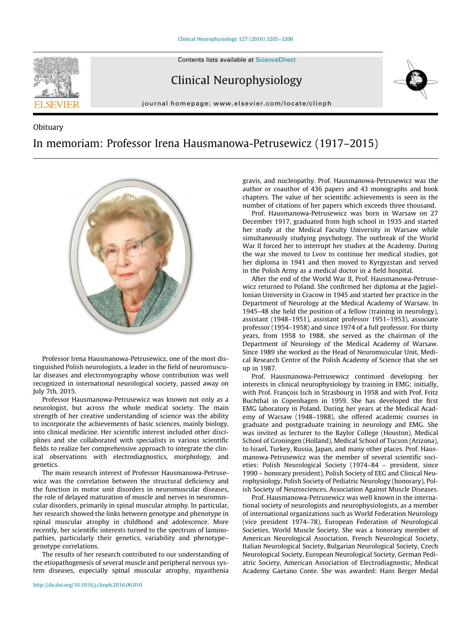

Clinical Neurophysiology

journal homepage: [www.elsevier.com/locate/clinph](http://www.elsevier.com/locate/clinph)



## Obituary

## In memoriam: Professor Irena Hausmanowa-Petrusewicz (1917–2015)



Professor Irena Hausmanowa-Petrusewicz, one of the most distinguished Polish neurologists, a leader in the field of neuromuscular diseases and electromyography whose contribution was well recognized in international neurological society, passed away on July 7th, 2015.

Professor Hausmanowa-Petrusewicz was known not only as a neurologist, but across the whole medical society. The main strength of her creative understanding of science was the ability to incorporate the achievements of basic sciences, mainly biology, into clinical medicine. Her scientific interest included other disciplines and she collaborated with specialists in various scientific fields to realize her comprehensive approach to integrate the clinical observations with electrodiagnostics, morphology, and genetics.

The main research interest of Professor Hausmanowa-Petrusewicz was the correlation between the structural deficiency and the function in motor unit disorders in neuromuscular diseases, the role of delayed maturation of muscle and nerves in neuromuscular disorders, primarily in spinal muscular atrophy. In particular, her research showed the links between genotype and phenotype in spinal muscular atrophy in childhood and adolescence. More recently, her scientific interests turned to the spectrum of laminopathies, particularly their genetics, variability and phenotype– genotype correlations.

The results of her research contributed to our understanding of the etiopathogenesis of several muscle and peripheral nervous system diseases, especially spinal muscular atrophy, myasthenia

gravis, and nucleopathy. Prof. Hausmanowa-Petrusewicz was the author or coauthor of 436 papers and 43 monographs and book chapters. The value of her scientific achievements is seen in the number of citations of her papers which exceeds three thousand.

Prof. Hausmanowa-Petrusewicz was born in Warsaw on 27 December 1917, graduated from high school in 1935 and started her study at the Medical Faculty University in Warsaw while simultaneously studying psychology. The outbreak of the World War II forced her to interrupt her studies at the Academy. During the war she moved to Lvov to continue her medical studies, got her diploma in 1941 and then moved to Kyrgyzstan and served in the Polish Army as a medical doctor in a field hospital.

After the end of the World War II, Prof. Hausmanowa-Petrusewicz returned to Poland. She confirmed her diploma at the Jagiellonian University in Cracow in 1945 and started her practice in the Department of Neurology at the Medical Academy of Warsaw. In 1945–48 she held the position of a fellow (training in neurology), assistant (1948–1951), assistant professor 1951–1953), associate professor (1954–1958) and since 1974 of a full professor. For thirty years, from 1958 to 1988, she served as the chairman of the Department of Neurology of the Medical Academy of Warsaw. Since 1989 she worked as the Head of Neuromuscular Unit, Medical Research Centre of the Polish Academy of Science that she set up in 1987.

Prof. Hausmanowa-Petrusewicz continued developing her interests in clinical neurophysiology by training in EMG; initially, with Prof. François Isch in Strasbourg in 1958 and with Prof. Fritz Buchthal in Copenhagen in 1959. She has developed the first EMG laboratory in Poland. During her years at the Medical Academy of Warsaw (1948–1988), she offered academic courses in graduate and postgraduate training in neurology and EMG. She was invited as lecturer to the Baylor College (Houston), Medical School of Groningen (Holland), Medical School of Tucson (Arizona), to Israel, Turkey, Russia, Japan, and many other places. Prof. Hausmanowa-Petrusewicz was the member of several scientific societies: Polish Neurological Society (1974–84 – president, since 1990 – honorary president), Polish Society of EEG and Clinical Neurophysiology, Polish Society of Pediatric Neurology (honorary), Polish Society of Neurosciences, Association Against Muscle Diseases.

Prof. Hausmanowa-Petrusewicz was well known in the international society of neurologists and neurophysiologists, as a member of international organizations such as World Federation Neurology (vice president 1974–78), European Federation of Neurological Societies, World Muscle Society. She was a honorary member of American Neurological Association, French Neurological Society, Italian Neurological Society, Bulgarian Neurological Society, Czech Neurological Society, European Neurological Society, German Pediatric Society, American Association of Electrodiagnostic, Medical Academy Gaetano Conte. She was awarded: Hans Berger Medal